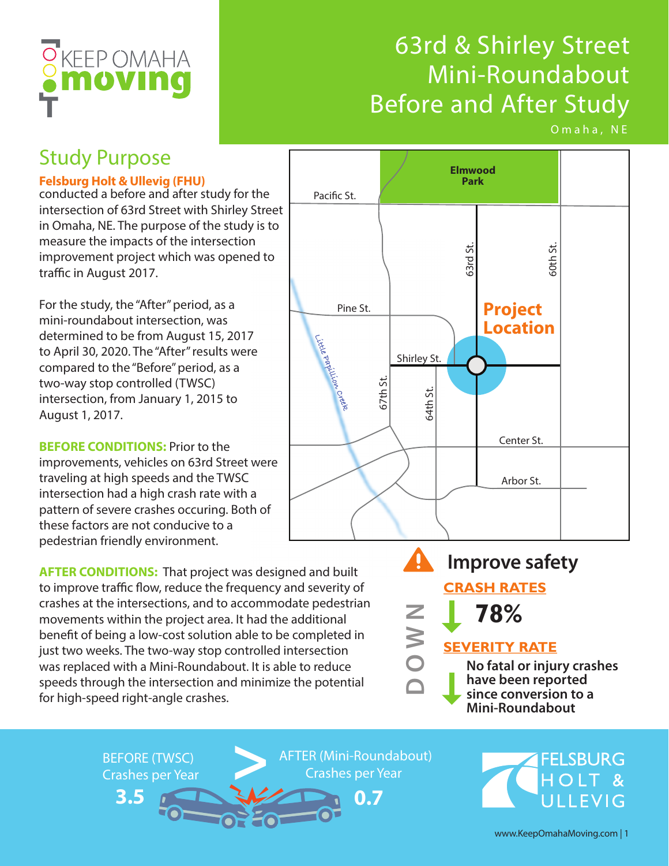

## 63rd & Shirley Street Mini-Roundabout Before and After Study

Omaha, NE

## Study Purpose

### **Felsburg Holt & Ullevig (FHU)**

conducted a before and after study for the intersection of 63rd Street with Shirley Street in Omaha, NE. The purpose of the study is to measure the impacts of the intersection improvement project which was opened to traffic in August 2017.

For the study, the "After" period, as a mini-roundabout intersection, was determined to be from August 15, 2017 to April 30, 2020. The "After" results were compared to the "Before" period, as a two-way stop controlled (TWSC) intersection, from January 1, 2015 to August 1, 2017.

**BEFORE CONDITIONS:** Prior to the improvements, vehicles on 63rd Street were traveling at high speeds and the TWSC intersection had a high crash rate with a pattern of severe crashes occuring. Both of these factors are not conducive to a pedestrian friendly environment.

**AFTER CONDITIONS:** That project was designed and built to improve traffic flow, reduce the frequency and severity of crashes at the intersections, and to accommodate pedestrian movements within the project area. It had the additional benefit of being a low-cost solution able to be completed in just two weeks. The two-way stop controlled intersection was replaced with a Mini-Roundabout. It is able to reduce speeds through the intersection and minimize the potential for high-speed right-angle crashes.



**Improve safety CRASH RATES**

**78%**

Z<br>>

### **SEVERITY RATE**

**No fatal or injury crashes have been reported since conversion to a Mini-Roundabout**

BEFORE (TWSC) Crashes per Year **>**

**3.5**

AFTER (Mini-Roundabout) Crashes per Year

**0.7**

**FELSBURG** HOIT